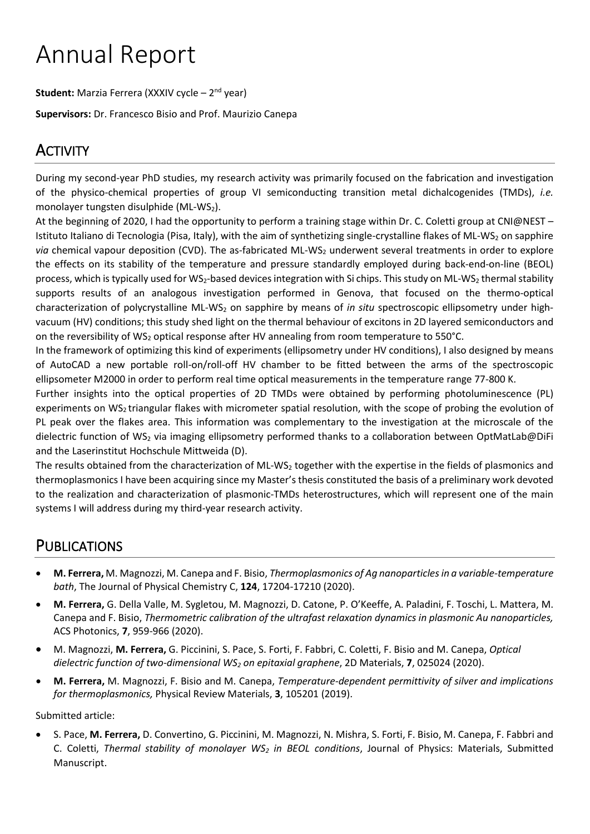# Annual Report

Student: Marzia Ferrera (XXXIV cycle - 2<sup>nd</sup> year)

**Supervisors:** Dr. Francesco Bisio and Prof. Maurizio Canepa

## **ACTIVITY**

During my second-year PhD studies, my research activity was primarily focused on the fabrication and investigation of the physico-chemical properties of group VI semiconducting transition metal dichalcogenides (TMDs), *i.e.* monolayer tungsten disulphide (ML-WS<sub>2</sub>).

At the beginning of 2020, I had the opportunity to perform a training stage within Dr. C. Coletti group at CNI@NEST – Istituto Italiano di Tecnologia (Pisa, Italy), with the aim of synthetizing single-crystalline flakes of ML-WS<sub>2</sub> on sapphire *via* chemical vapour deposition (CVD). The as-fabricated ML-WS<sub>2</sub> underwent several treatments in order to explore the effects on its stability of the temperature and pressure standardly employed during back-end-on-line (BEOL) process, which is typically used for WS<sub>2</sub>-based devices integration with Si chips. This study on ML-WS<sub>2</sub> thermal stability supports results of an analogous investigation performed in Genova, that focused on the thermo-optical characterization of polycrystalline ML-WS<sup>2</sup> on sapphire by means of *in situ* spectroscopic ellipsometry under highvacuum (HV) conditions; this study shed light on the thermal behaviour of excitons in 2D layered semiconductors and on the reversibility of WS<sub>2</sub> optical response after HV annealing from room temperature to 550°C.

In the framework of optimizing this kind of experiments (ellipsometry under HV conditions), I also designed by means of AutoCAD a new portable roll-on/roll-off HV chamber to be fitted between the arms of the spectroscopic ellipsometer M2000 in order to perform real time optical measurements in the temperature range 77-800 K.

Further insights into the optical properties of 2D TMDs were obtained by performing photoluminescence (PL) experiments on WS<sub>2</sub> triangular flakes with micrometer spatial resolution, with the scope of probing the evolution of PL peak over the flakes area. This information was complementary to the investigation at the microscale of the dielectric function of WS<sub>2</sub> via imaging ellipsometry performed thanks to a collaboration between OptMatLab@DiFi and the Laserinstitut Hochschule Mittweida (D).

The results obtained from the characterization of ML-WS<sub>2</sub> together with the expertise in the fields of plasmonics and thermoplasmonics I have been acquiring since my Master's thesis constituted the basis of a preliminary work devoted to the realization and characterization of plasmonic-TMDs heterostructures, which will represent one of the main systems I will address during my third-year research activity.

## PUBLICATIONS

- **M. Ferrera,** M. Magnozzi, M. Canepa and F. Bisio, *Thermoplasmonics of Ag nanoparticles in a variable-temperature bath*, The Journal of Physical Chemistry C, **124**, 17204-17210 (2020).
- **M. Ferrera,** G. Della Valle, M. Sygletou, M. Magnozzi, D. Catone, P. O'Keeffe, A. Paladini, F. Toschi, L. Mattera, M. Canepa and F. Bisio, *Thermometric calibration of the ultrafast relaxation dynamics in plasmonic Au nanoparticles,* ACS Photonics, **7**, 959-966 (2020).
- M. Magnozzi, **M. Ferrera,** G. Piccinini, S. Pace, S. Forti, F. Fabbri, C. Coletti, F. Bisio and M. Canepa, *Optical dielectric function of two-dimensional WS<sup>2</sup> on epitaxial graphene*, 2D Materials, **7**, 025024 (2020).
- **M. Ferrera,** M. Magnozzi, F. Bisio and M. Canepa, *Temperature-dependent permittivity of silver and implications for thermoplasmonics,* Physical Review Materials, **3**, 105201 (2019).

Submitted article:

• S. Pace, **M. Ferrera,** D. Convertino, G. Piccinini, M. Magnozzi, N. Mishra, S. Forti, F. Bisio, M. Canepa, F. Fabbri and C. Coletti, *Thermal stability of monolayer WS<sup>2</sup> in BEOL conditions*, Journal of Physics: Materials, Submitted Manuscript.